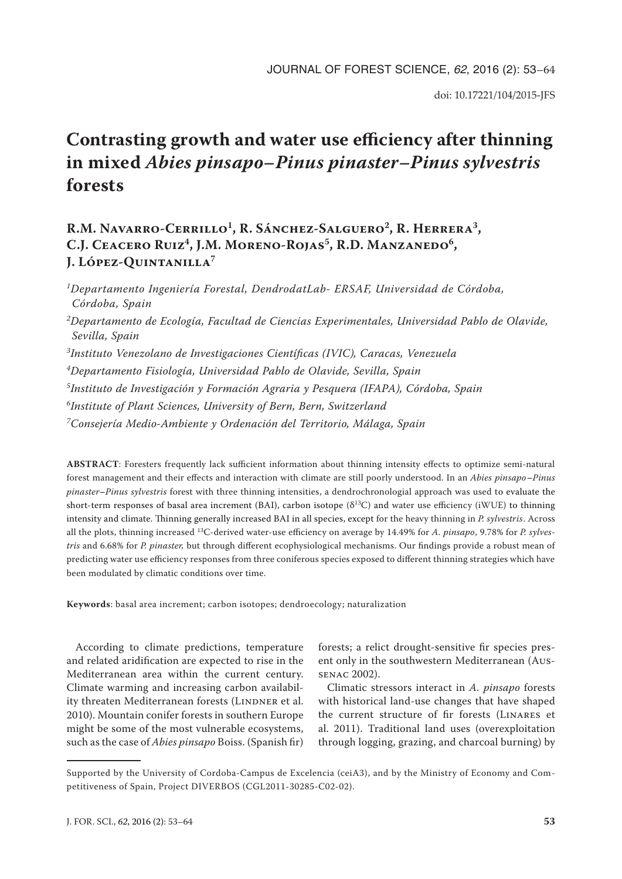doi: 10.17221/104/2015-JFS

# **Contrasting growth and water use efficiency after thinning in mixed** *Abies pinsapo–Pinus pinaster–Pinus sylvestris* **forests**

# R.M. NAVARRO-CERRILLO<sup>1</sup>, R. SÁNCHEZ-SALGUERO<sup>2</sup>, R. HERRERA<sup>3</sup>, **C.J. Ceacero Ruiz4, J.M. Moreno-Rojas5, R.D. Manzanedo6, J. López-Quintanilla<sup>7</sup>**

*1Departamento Ingeniería Forestal, DendrodatLab- ERSAF, Universidad de Córdoba, Córdoba, Spain 2Departamento de Ecología, Facultad de Ciencias Experimentales, Universidad Pablo de Olavide, Sevilla, Spain 3Instituto Venezolano de Investigaciones Científicas (IVIC), Caracas, Venezuela 4Departamento Fisiología, Universidad Pablo de Olavide, Sevilla, Spain 5Instituto de Investigación y Formación Agraria y Pesquera (IFAPA), Córdoba, Spain 6Institute of Plant Sciences, University of Bern, Bern, Switzerland 7Consejería Medio-Ambiente y Ordenación del Territorio, Málaga, Spain*

**ABSTRACT**: Foresters frequently lack sufficient information about thinning intensity effects to optimize semi-natural forest management and their effects and interaction with climate are still poorly understood. In an *Abies pinsapo–Pinus pinaster–Pinus sylvestris* forest with three thinning intensities, a dendrochronologial approach was used to evaluate the short-term responses of basal area increment (BAI), carbon isotope  $(\delta^{13}C)$  and water use efficiency (iWUE) to thinning intensity and climate. Thinning generally increased BAI in all species, except for the heavy thinning in *P. sylvestris*. Across all the plots, thinning increased 13C-derived water-use efficiency on average by 14.49% for *A. pinsapo*, 9.78% for *P. sylvestris* and 6.68% for *P. pinaster,* but through different ecophysiological mechanisms. Our findings provide a robust mean of predicting water use efficiency responses from three coniferous species exposed to different thinning strategies which have been modulated by climatic conditions over time.

**Keywords**: basal area increment; carbon isotopes; dendroecology; naturalization

According to climate predictions, temperature and related aridification are expected to rise in the Mediterranean area within the current century. Climate warming and increasing carbon availability threaten Mediterranean forests (LINDNER et al. 2010). Mountain conifer forests in southern Europe might be some of the most vulnerable ecosystems, such as the case of *Abies pinsapo* Boiss. (Spanish fir)

forests; a relict drought-sensitive fir species present only in the southwestern Mediterranean (Aussenac 2002).

Climatic stressors interact in *A. pinsapo* forests with historical land-use changes that have shaped the current structure of fir forests (Linares et al. 2011). Traditional land uses (overexploitation through logging, grazing, and charcoal burning) by

Supported by the University of Cordoba-Campus de Excelencia (ceiA3), and by the Ministry of Economy and Competitiveness of Spain, Project DIVERBOS (CGL2011-30285-C02-02).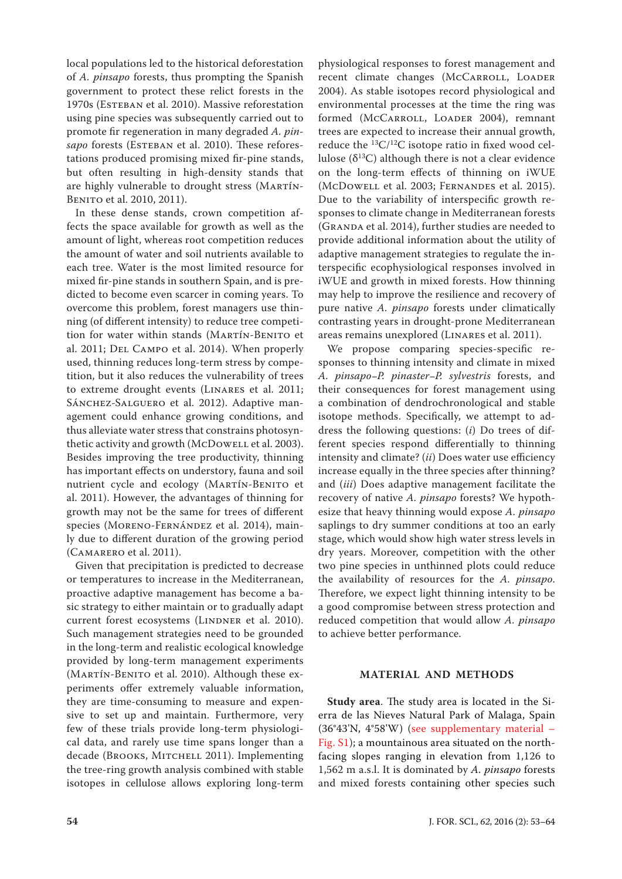local populations led to the historical deforestation of *A. pinsapo* forests, thus prompting the Spanish government to protect these relict forests in the 1970s (Esteban et al. 2010). Massive reforestation using pine species was subsequently carried out to promote fir regeneration in many degraded *A. pinsapo* forests (Esteban et al. 2010). These reforestations produced promising mixed fir-pine stands, but often resulting in high-density stands that are highly vulnerable to drought stress (MARTÍN-Benito et al. 2010, 2011).

In these dense stands, crown competition affects the space available for growth as well as the amount of light, whereas root competition reduces the amount of water and soil nutrients available to each tree. Water is the most limited resource for mixed fir-pine stands in southern Spain, and is predicted to become even scarcer in coming years. To overcome this problem, forest managers use thinning (of different intensity) to reduce tree competition for water within stands (MARTÍN-BENITO et al. 2011; Del Campo et al. 2014). When properly used, thinning reduces long-term stress by competition, but it also reduces the vulnerability of trees to extreme drought events (Linares et al. 2011; Sánchez-Salguero et al. 2012). Adaptive management could enhance growing conditions, and thus alleviate water stress that constrains photosynthetic activity and growth (McDowell et al. 2003). Besides improving the tree productivity, thinning has important effects on understory, fauna and soil nutrient cycle and ecology (MARTÍN-BENITO et al. 2011). However, the advantages of thinning for growth may not be the same for trees of different species (Moreno-Fernández et al. 2014), mainly due to different duration of the growing period (Camarero et al. 2011).

Given that precipitation is predicted to decrease or temperatures to increase in the Mediterranean, proactive adaptive management has become a basic strategy to either maintain or to gradually adapt current forest ecosystems (LINDNER et al. 2010). Such management strategies need to be grounded in the long-term and realistic ecological knowledge provided by long-term management experiments (Martín-Benito et al. 2010). Although these experiments offer extremely valuable information, they are time-consuming to measure and expensive to set up and maintain. Furthermore, very few of these trials provide long-term physiological data, and rarely use time spans longer than a decade (BROOKS, MITCHELL 2011). Implementing the tree-ring growth analysis combined with stable isotopes in cellulose allows exploring long-term

2004). As stable isotopes record physiological and environmental processes at the time the ring was formed (McCARROLL, LOADER 2004), remnant trees are expected to increase their annual growth, reduce the  ${}^{13}C/{}^{12}C$  isotope ratio in fixed wood cellulose ( $\delta^{13}$ C) although there is not a clear evidence on the long-term effects of thinning on iWUE (McDowell et al. 2003; Fernandes et al. 2015). Due to the variability of interspecific growth responses to climate change in Mediterranean forests (GRANDA et al. 2014), further studies are needed to provide additional information about the utility of adaptive management strategies to regulate the interspecific ecophysiological responses involved in iWUE and growth in mixed forests. How thinning may help to improve the resilience and recovery of pure native *A. pinsapo* forests under climatically contrasting years in drought-prone Mediterranean areas remains unexplored (Linares et al. 2011). We propose comparing species-specific re-

physiological responses to forest management and recent climate changes (McCARROLL, LOADER

sponses to thinning intensity and climate in mixed *A. pinsapo–P. pinaster–P. sylvestris* forests, and their consequences for forest management using a combination of dendrochronological and stable isotope methods. Specifically, we attempt to address the following questions: (*i*) Do trees of different species respond differentially to thinning intensity and climate? (*ii*) Does water use efficiency increase equally in the three species after thinning? and (*iii*) Does adaptive management facilitate the recovery of native *A. pinsapo* forests? We hypothesize that heavy thinning would expose *A. pinsapo*  saplings to dry summer conditions at too an early stage, which would show high water stress levels in dry years. Moreover, competition with the other two pine species in unthinned plots could reduce the availability of resources for the *A. pinsapo*. Therefore, we expect light thinning intensity to be a good compromise between stress protection and reduced competition that would allow *A. pinsapo*  to achieve better performance.

# **MATERIAL AND METHODS**

**Study area**. The study area is located in the Sierra de las Nieves Natural Park of Malaga, Spain (36°43'N, 4°58'W) (see supplementary material – [Fig. S1](http://www.agriculturejournals.cz/publicFiles/175692.pdf)); a mountainous area situated on the northfacing slopes ranging in elevation from 1,126 to 1,562 m a.s.l. It is dominated by *A. pinsapo* forests and mixed forests containing other species such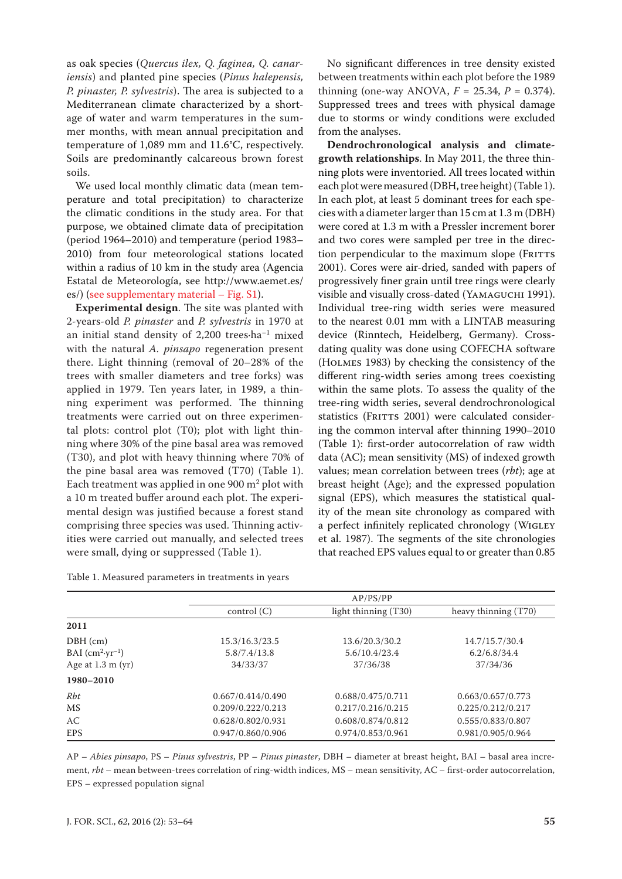as oak species (*Quercus ilex, Q. faginea, Q. canariensis*) and planted pine species (*Pinus halepensis, P. pinaster, P. sylvestris*). The area is subjected to a Mediterranean climate characterized by a shortage of water and warm temperatures in the summer months, with mean annual precipitation and temperature of 1,089 mm and 11.6°C, respectively. Soils are predominantly calcareous brown forest soils.

We used local monthly climatic data (mean temperature and total precipitation) to characterize the climatic conditions in the study area. For that purpose, we obtained climate data of precipitation (period 1964–2010) and temperature (period 1983– 2010) from four meteorological stations located within a radius of 10 km in the study area (Agencia Estatal de Meteorología, see http://www.aemet.es/ es/) (see supplementary material – [Fig. S1](http://www.agriculturejournals.cz/publicFiles/175692.pdf)).

**Experimental design**. The site was planted with 2-years-old *P. pinaster* and *P. sylvestris* in 1970 at an initial stand density of 2,200 trees·ha–1 mixed with the natural *A. pinsapo* regeneration present there. Light thinning (removal of 20–28% of the trees with smaller diameters and tree forks) was applied in 1979. Ten years later, in 1989, a thinning experiment was performed. The thinning treatments were carried out on three experimental plots: control plot (T0); plot with light thinning where 30% of the pine basal area was removed (T30), and plot with heavy thinning where 70% of the pine basal area was removed (T70) (Table 1). Each treatment was applied in one  $900 \text{ m}^2$  plot with a 10 m treated buffer around each plot. The experimental design was justified because a forest stand comprising three species was used. Thinning activities were carried out manually, and selected trees were small, dying or suppressed (Table 1).

Table 1. Measured parameters in treatments in years

No significant differences in tree density existed between treatments within each plot before the 1989 thinning (one-way ANOVA,  $F = 25.34$ ,  $P = 0.374$ ). Suppressed trees and trees with physical damage due to storms or windy conditions were excluded from the analyses.

**Dendrochronological analysis and climategrowth relationships**. In May 2011, the three thinning plots were inventoried. All trees located within each plot were measured (DBH, tree height) (Table 1). In each plot, at least 5 dominant trees for each species with a diameter larger than 15 cm at 1.3 m (DBH) were cored at 1.3 m with a Pressler increment borer and two cores were sampled per tree in the direction perpendicular to the maximum slope (FRITTS 2001). Cores were air-dried, sanded with papers of progressively finer grain until tree rings were clearly visible and visually cross-dated (Yamaguchi 1991). Individual tree-ring width series were measured to the nearest 0.01 mm with a LINTAB measuring device (Rinntech, Heidelberg, Germany). Crossdating quality was done using COFECHA software (Holmes 1983) by checking the consistency of the different ring-width series among trees coexisting within the same plots. To assess the quality of the tree-ring width series, several dendrochronological statistics (FRITTS 2001) were calculated considering the common interval after thinning 1990–2010 (Table 1): first-order autocorrelation of raw width data (AC); mean sensitivity (MS) of indexed growth values; mean correlation between trees (*rbt*); age at breast height (Age); and the expressed population signal (EPS), which measures the statistical quality of the mean site chronology as compared with a perfect infinitely replicated chronology (WIGLEY et al. 1987). The segments of the site chronologies that reached EPS values equal to or greater than 0.85

|                             | AP/PS/PP          |                      |                      |  |  |
|-----------------------------|-------------------|----------------------|----------------------|--|--|
|                             | control $(C)$     | light thinning (T30) | heavy thinning (T70) |  |  |
| 2011                        |                   |                      |                      |  |  |
| $DBH$ (cm)                  | 15.3/16.3/23.5    | 13.6/20.3/30.2       | 14.7/15.7/30.4       |  |  |
| BAI $(cm^2 \cdot yr^{-1})$  | 5.8/7.4/13.8      | 5.6/10.4/23.4        | 6.2/6.8/34.4         |  |  |
| Age at $1.3 \text{ m (yr)}$ | 34/33/37          | 37/36/38             | 37/34/36             |  |  |
| 1980-2010                   |                   |                      |                      |  |  |
| Rbt                         | 0.667/0.414/0.490 | 0.688/0.475/0.711    | 0.663/0.657/0.773    |  |  |
| MS                          | 0.209/0.222/0.213 | 0.217/0.216/0.215    | 0.225/0.212/0.217    |  |  |
| AC                          | 0.628/0.802/0.931 | 0.608/0.874/0.812    | 0.555/0.833/0.807    |  |  |
| <b>EPS</b>                  | 0.947/0.860/0.906 | 0.974/0.853/0.961    | 0.981/0.905/0.964    |  |  |

AP – *Abies pinsapo*, PS – *Pinus sylvestris*, PP – *Pinus pinaster*, DBH – diameter at breast height, BAI – basal area increment, *rbt* – mean between-trees correlation of ring-width indices, MS – mean sensitivity, AC – first-order autocorrelation, EPS – expressed population signal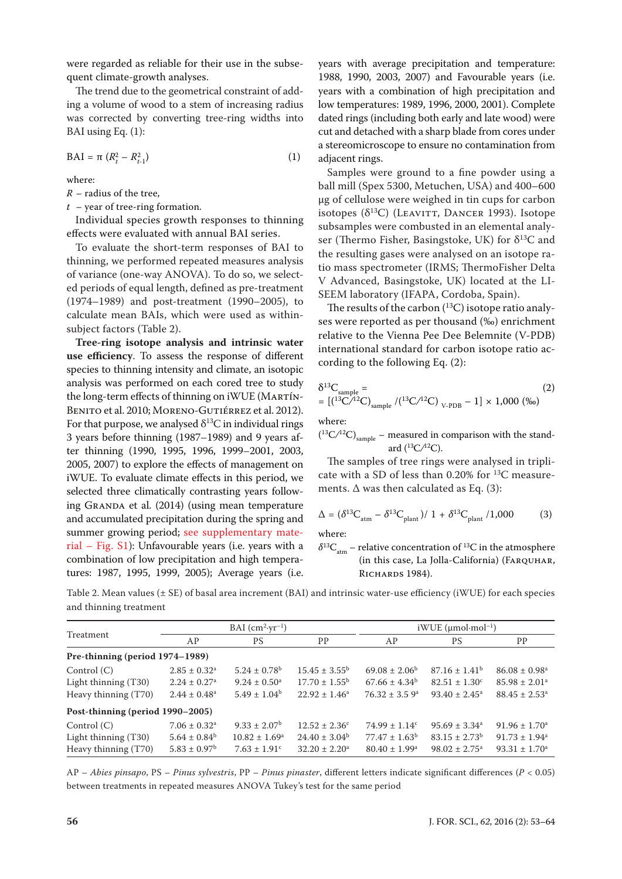were regarded as reliable for their use in the subsequent climate-growth analyses.

The trend due to the geometrical constraint of adding a volume of wood to a stem of increasing radius was corrected by converting tree-ring widths into BAI using Eq. (1):

$$
BAI = \pi (R_t^2 - R_{t-1}^2)
$$
 (1)

where:

*R* – radius of the tree,

*t* – year of tree-ring formation.

Individual species growth responses to thinning effects were evaluated with annual BAI series.

To evaluate the short-term responses of BAI to thinning, we performed repeated measures analysis of variance (one-way ANOVA). To do so, we selected periods of equal length, defined as pre-treatment (1974–1989) and post-treatment (1990–2005), to calculate mean BAIs, which were used as withinsubject factors (Table 2).

**Tree-ring isotope analysis and intrinsic water use efficiency**. To assess the response of different species to thinning intensity and climate, an isotopic analysis was performed on each cored tree to study the long-term effects of thinning on iWUE (Martín-BENITO et al. 2010; MORENO-GUTIÉRREZ et al. 2012). For that purpose, we analysed  $\delta^{13}$ C in individual rings 3 years before thinning (1987–1989) and 9 years after thinning (1990, 1995, 1996, 1999–2001, 2003, 2005, 2007) to explore the effects of management on iWUE. To evaluate climate effects in this period, we selected three climatically contrasting years following Granda et al. (2014) (using mean temperature and accumulated precipitation during the spring and summer growing period; see supplementary material – [Fig. S1\):](http://www.agriculturejournals.cz/publicFiles/175692.pdf) Unfavourable years (i.e. years with a combination of low precipitation and high temperatures: 1987, 1995, 1999, 2005); Average years (i.e. years with average precipitation and temperature: 1988, 1990, 2003, 2007) and Favourable years (i.e. years with a combination of high precipitation and low temperatures: 1989, 1996, 2000, 2001). Complete dated rings (including both early and late wood) were cut and detached with a sharp blade from cores under a stereomicroscope to ensure no contamination from adjacent rings.

Samples were ground to a fine powder using a ball mill (Spex 5300, Metuchen, USA) and 400–600 μg of cellulose were weighed in tin cups for carbon isotopes  $(\delta^{13}C)$  (LEAVITT, DANCER 1993). Isotope subsamples were combusted in an elemental analyser (Thermo Fisher, Basingstoke, UK) for  $\delta^{13}C$  and the resulting gases were analysed on an isotope ratio mass spectrometer (IRMS; ThermoFisher Delta V Advanced, Basingstoke, UK) located at the LI-SEEM laboratory (IFAPA, Cordoba, Spain).

The results of the carbon  $(^{13}C)$  isotope ratio analyses were reported as per thousand (‰) enrichment relative to the Vienna Pee Dee Belemnite (V-PDB) international standard for carbon isotope ratio according to the following Eq. (2):

$$
\delta^{13}C_{\text{sample}} = (2)
$$
\n
$$
= [(1^{3}C/^{12}C)_{\text{sample}} / (1^{3}C/^{12}C)_{\text{V-PDB}} - 1] \times 1,000 (%)
$$
\nwhere:

 $($ <sup>13</sup>C $/$ <sup>12</sup>C $)$ <sub>sample</sub> – measured in comparison with the standard (13C*/*12C).

The samples of tree rings were analysed in triplicate with a SD of less than 0.20% for 13C measurements.  $\Delta$  was then calculated as Eq. (3):

$$
\Delta = (\delta^{13}C_{\text{atm}} - \delta^{13}C_{\text{plant}})/1 + \delta^{13}C_{\text{plant}}/1,000
$$
 (3)

where:

 $\delta^{13}C_{\text{atm}}$  – relative concentration of <sup>13</sup>C in the atmosphere (in this case, La Jolla-California) (Farquhar, RICHARDS 1984).

Table 2. Mean values (± SE) of basal area increment (BAI) and intrinsic water-use efficiency (iWUE) for each species and thinning treatment

|                                  | BAI $(cm^2 \cdot yr^{-1})$   |                              |                          | iWUE $(\mu mol \cdot mol^{-1})$ |                          |                               |  |  |
|----------------------------------|------------------------------|------------------------------|--------------------------|---------------------------------|--------------------------|-------------------------------|--|--|
| Treatment                        | AP                           | PS                           | <b>PP</b>                | AP                              | <b>PS</b>                | PP.                           |  |  |
| Pre-thinning (period 1974-1989)  |                              |                              |                          |                                 |                          |                               |  |  |
| Control (C)                      | $2.85 \pm 0.32$ <sup>a</sup> | $5.24 \pm 0.78$ <sup>b</sup> | $15.45 \pm 3.55^{\circ}$ | $69.08 \pm 2.06^{\circ}$        | $87.16 \pm 1.41^{\circ}$ | $86.08 \pm 0.98$ <sup>a</sup> |  |  |
| Light thinning (T30)             | $2.24 \pm 0.27$ <sup>a</sup> | $9.24 \pm 0.50^{\circ}$      | $17.70 \pm 1.55^{\rm b}$ | $67.66 \pm 4.34^b$              | $82.51 \pm 1.30^{\circ}$ | $85.98 \pm 2.01$ <sup>a</sup> |  |  |
| Heavy thinning $(T70)$           | $2.44 \pm 0.48$ <sup>a</sup> | $5.49 \pm 1.04^b$            | $22.92 \pm 1.46^a$       | $76.32 \pm 3.59$ <sup>a</sup>   | $93.40 \pm 2.45^{\circ}$ | $88.45 \pm 2.53$ <sup>a</sup> |  |  |
| Post-thinning (period 1990–2005) |                              |                              |                          |                                 |                          |                               |  |  |
| Control $(C)$                    | $7.06 \pm 0.32$ <sup>a</sup> | $9.33 \pm 2.07^{\rm b}$      | $12.52 \pm 2.36^{\circ}$ | $74.99 \pm 1.14$ <sup>c</sup>   | $95.69 \pm 3.34^a$       | $91.96 \pm 1.70$ <sup>a</sup> |  |  |
| Light thinning (T30)             | $5.64 \pm 0.84^b$            | $10.82 \pm 1.69^{\circ}$     | $24.40 \pm 3.04^b$       | $77.47 \pm 1.63^b$              | $83.15 \pm 2.73^{\rm b}$ | $91.73 \pm 1.94$ <sup>a</sup> |  |  |
| Heavy thinning (T70)             | $5.83 \pm 0.97^{\rm b}$      | $7.63 \pm 1.91$ <sup>c</sup> | $32.20 \pm 2.20^a$       | $80.40 \pm 1.99$ <sup>a</sup>   | $98.02 \pm 2.75^{\circ}$ | $93.31 \pm 1.70^a$            |  |  |

AP – *Abies pinsapo*, PS – *Pinus sylvestris*, PP – *Pinus pinaster*, different letters indicate significant differences (*P* < 0.05) between treatments in repeated measures ANOVA Tukey's test for the same period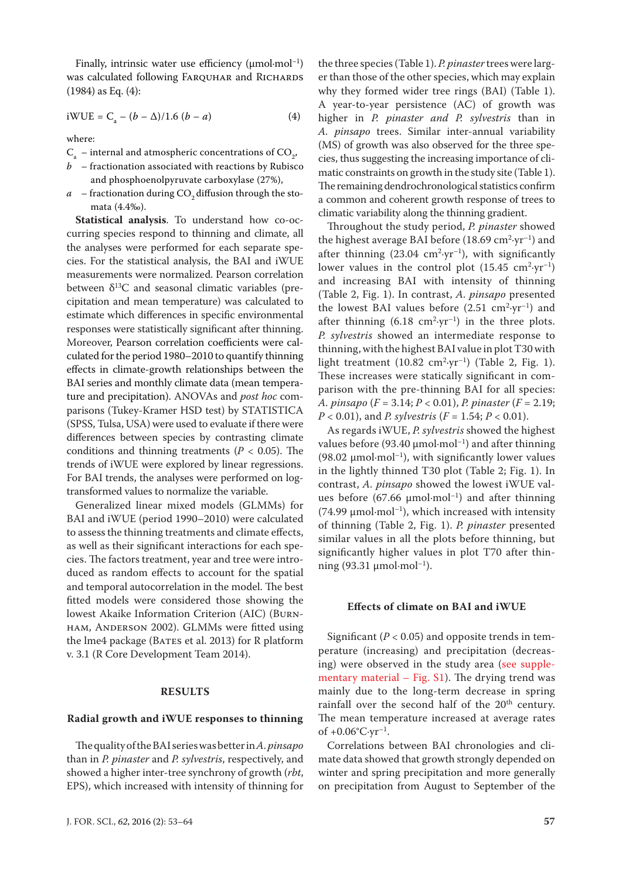Finally, intrinsic water use efficiency (μmol·mol–1) was calculated following FARQUHAR and RICHARDS (1984) as Eq. (4):

iWUE =  $C_a - (b - \Delta)/1.6$  (*b* – *a*) (4)

where:

 $C_a$  – internal and atmospheric concentrations of  $CO<sub>2</sub>$ ,

- $b -$  fractionation associated with reactions by Rubisco and phosphoenolpyruvate carboxylase (27%),
- $a$  fractionation during  $CO<sub>2</sub>$  diffusion through the stomata (4.4‰).

**Statistical analysis**. To understand how co-occurring species respond to thinning and climate, all the analyses were performed for each separate species. For the statistical analysis, the BAI and iWUE measurements were normalized. Pearson correlation between  $\delta^{13}$ C and seasonal climatic variables (precipitation and mean temperature) was calculated to estimate which differences in specific environmental responses were statistically significant after thinning. Moreover, Pearson correlation coefficients were calculated for the period 1980–2010 to quantify thinning effects in climate-growth relationships between the BAI series and monthly climate data (mean temperature and precipitation). ANOVAs and *post hoc* comparisons (Tukey-Kramer HSD test) by STATISTICA (SPSS, Tulsa, USA) were used to evaluate if there were differences between species by contrasting climate conditions and thinning treatments ( $P < 0.05$ ). The trends of iWUE were explored by linear regressions. For BAI trends, the analyses were performed on logtransformed values to normalize the variable.

Generalized linear mixed models (GLMMs) for BAI and iWUE (period 1990–2010) were calculated to assess the thinning treatments and climate effects, as well as their significant interactions for each species. The factors treatment, year and tree were introduced as random effects to account for the spatial and temporal autocorrelation in the model. The best fitted models were considered those showing the lowest Akaike Information Criterion (AIC) (Burnham, Anderson 2002). GLMMs were fitted using the lme4 package (BATES et al. 2013) for R platform v. 3.1 (R Core Development Team 2014).

### **RESULTS**

#### **Radial growth and iWUE responses to thinning**

The quality of the BAI series was better in *A. pinsapo* than in *P. pinaster* and *P. sylvestris*, respectively, and showed a higher inter-tree synchrony of growth (*rbt*, EPS), which increased with intensity of thinning for

the three species (Table 1). *P. pinaster* trees were larger than those of the other species, which may explain why they formed wider tree rings (BAI) (Table 1). A year-to-year persistence (AC) of growth was higher in *P. pinaster and P. sylvestris* than in *A. pinsapo* trees. Similar inter-annual variability (MS) of growth was also observed for the three species, thus suggesting the increasing importance of climatic constraints on growth in the study site (Table 1). The remaining dendrochronological statistics confirm a common and coherent growth response of trees to climatic variability along the thinning gradient.

Throughout the study period, *P. pinaster* showed the highest average BAI before (18.69  $\text{cm}^2\text{-yr}^{-1}$ ) and after thinning  $(23.04 \text{ cm}^2 \cdot \text{yr}^{-1})$ , with significantly lower values in the control plot  $(15.45 \text{ cm}^2 \cdot \text{yr}^{-1})$ and increasing BAI with intensity of thinning (Table 2, Fig. 1). In contrast, *A. pinsapo* presented the lowest BAI values before  $(2.51 \text{ cm}^2 \cdot \text{yr}^{-1})$  and after thinning  $(6.18 \text{ cm}^2 \cdot \text{yr}^{-1})$  in the three plots. *P. sylvestris* showed an intermediate response to thinning, with the highest BAI value in plot T30 with light treatment  $(10.82 \text{ cm}^2 \cdot \text{yr}^{-1})$  (Table 2, Fig. 1). These increases were statically significant in comparison with the pre-thinning BAI for all species: *A. pinsapo* (*F* = 3.14; *P* < 0.01), *P. pinaster* (*F* = 2.19; *P* < 0.01), and *P. sylvestris* (*F* = 1.54; *P* < 0.01).

As regards iWUE, *P. sylvestris* showed the highest values before (93.40  $\mu$ mol·mol<sup>-1</sup>) and after thinning (98.02  $\mu$ mol·mol<sup>-1</sup>), with significantly lower values in the lightly thinned T30 plot (Table 2; Fig. 1). In contrast, *A. pinsapo* showed the lowest iWUE values before (67.66  $\mu$ mol·mol<sup>-1</sup>) and after thinning (74.99  $\mu$ mol·mol<sup>-1</sup>), which increased with intensity of thinning (Table 2, Fig. 1). *P. pinaster* presented similar values in all the plots before thinning, but significantly higher values in plot T70 after thinning (93.31  $\mu$ mol·mol<sup>-1</sup>).

#### **Effects of climate on BAI and iWUE**

Significant ( $P < 0.05$ ) and opposite trends in temperature (increasing) and precipitation (decreasing) were observed in the study area (see supplementary material – [Fig. S1\)](http://www.agriculturejournals.cz/publicFiles/175692.pdf). The drying trend was mainly due to the long-term decrease in spring rainfall over the second half of the 20<sup>th</sup> century. The mean temperature increased at average rates of  $+0.06^{\circ}$ C·yr<sup>-1</sup>.

Correlations between BAI chronologies and climate data showed that growth strongly depended on winter and spring precipitation and more generally on precipitation from August to September of the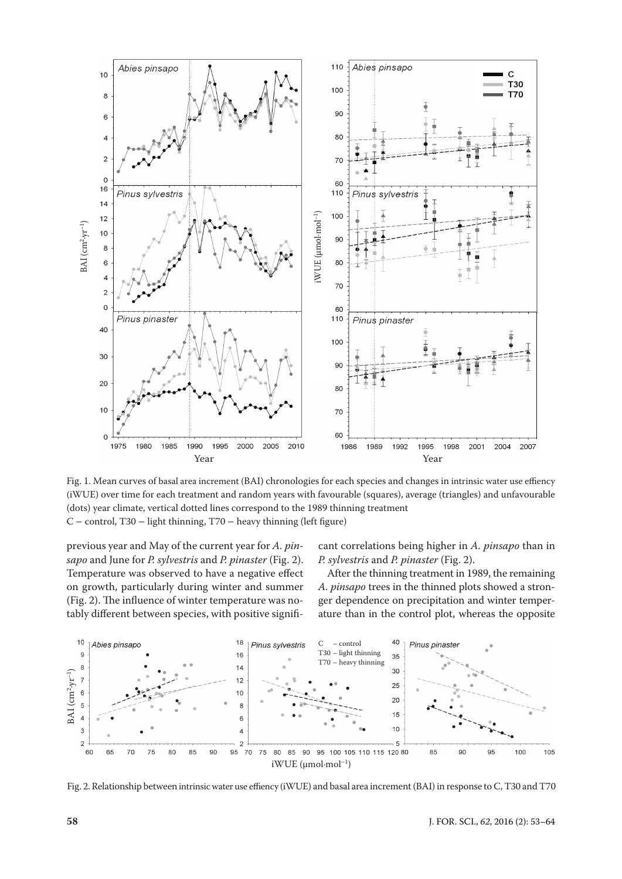

Fig. 1. Mean curves of basal area increment (BAI) chronologies for each species and changes in intrinsic water use effiency (iWUE) over time for each treatment and random years with favourable (squares), average (triangles) and unfavourable (dots) year climate, vertical dotted lines correspond to the 1989 thinning treatment

previous year and May of the current year for *A. pinsapo* and June for *P. sylvestris* and *P. pinaster* (Fig. 2). Temperature was observed to have a negative effect on growth, particularly during winter and summer (Fig. 2). The influence of winter temperature was notably different between species, with positive signifi-

cant correlations being higher in *A. pinsapo* than in *P. sylvestris* and *P. pinaster* (Fig. 2).

After the thinning treatment in 1989, the remaining *A. pinsapo* trees in the thinned plots showed a stronger dependence on precipitation and winter temperature than in the control plot, whereas the opposite

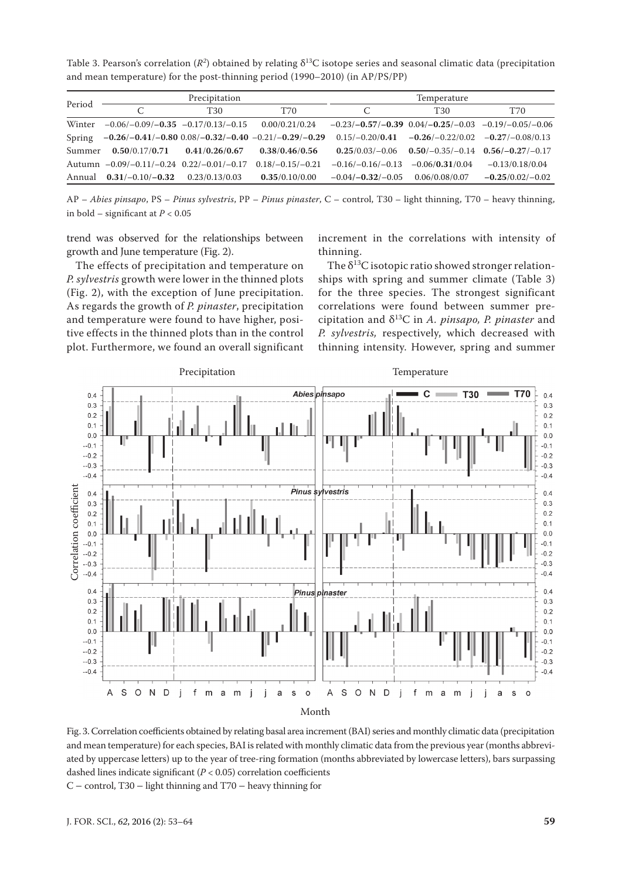Table 3. Pearson's correlation ( $R^2$ ) obtained by relating  $\delta^{13}$ C isotope series and seasonal climatic data (precipitation and mean temperature) for the post-thinning period (1990–2010) (in AP/PS/PP)

| Period |                                             | Precipitation   |                                                            | Temperature                                                 |                   |                                       |  |
|--------|---------------------------------------------|-----------------|------------------------------------------------------------|-------------------------------------------------------------|-------------------|---------------------------------------|--|
|        |                                             | T <sub>30</sub> | T70                                                        |                                                             | T <sub>30</sub>   | T70                                   |  |
| Winter | $-0.06/-0.09/-0.35$ $-0.17/0.13/-0.15$      |                 | 0.00/0.21/0.24                                             | $-0.23/-0.57/-0.39$ 0.04/ $-0.25/-0.03$ $-0.19/-0.05/-0.06$ |                   |                                       |  |
| Spring |                                             |                 | $-0.26/-0.41/-0.80$ $0.08/-0.32/-0.40$ $-0.21/-0.29/-0.29$ | $0.15/-0.20/0.41$                                           |                   | $-0.26/-0.22/0.02$ $-0.27/-0.08/0.13$ |  |
| Summer | 0.50/0.17/0.71                              | 0.41/0.26/0.67  | 0.38/0.46/0.56                                             | $0.25/0.03/-0.06$                                           |                   | $0.50/-0.35/-0.14$ $0.56/-0.27/-0.17$ |  |
|        | Autumn $-0.09/-0.11/-0.24$ 0.22/-0.01/-0.17 |                 | $0.18/-0.15/-0.21$                                         | $-0.16/-0.16/-0.13$                                         | $-0.06/0.31/0.04$ | $-0.13/0.18/0.04$                     |  |
|        | Annual $0.31/-0.10/-0.32$                   | 0.23/0.13/0.03  | 0.35/0.10/0.00                                             | $-0.04/-0.32/-0.05$                                         | 0.06/0.08/0.07    | $-0.25/0.02/-0.02$                    |  |

AP – *Abies pinsapo*, PS – *Pinus sylvestris*, PP – *Pinus pinaster*, C – control, T30 – light thinning, T70 – heavy thinning, in bold – significant at *P* < 0.05

trend was observed for the relationships between growth and June temperature (Fig. 2).

increment in the correlations with intensity of thinning.

The effects of precipitation and temperature on *P. sylvestris* growth were lower in the thinned plots (Fig. 2), with the exception of June precipitation. As regards the growth of *P. pinaster*, precipitation and temperature were found to have higher, positive effects in the thinned plots than in the control plot. Furthermore, we found an overall significant

The  $\delta^{13}$ C isotopic ratio showed stronger relationships with spring and summer climate (Table 3) for the three species. The strongest significant correlations were found between summer precipitation and δ13C in *A. pinsapo, P. pinaster* and *P. sylvestris,* respectively, which decreased with thinning intensity. However, spring and summer



Fig. 3. Correlation coefficients obtained by relating basal area increment (BAI) series and monthly climatic data (precipitation and mean temperature) for each species, BAI is related with monthly climatic data from the previous year (months abbreviated by uppercase letters) up to the year of tree-ring formation (months abbreviated by lowercase letters), bars surpassing dashed lines indicate significant (*P* < 0.05) correlation coefficients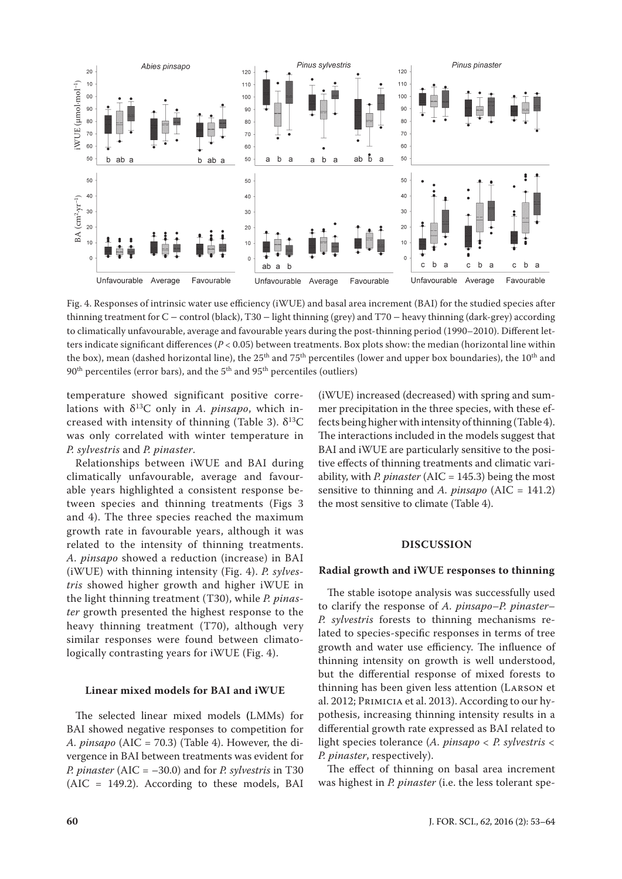

Fig. 4. Responses of intrinsic water use efficiency (iWUE) and basal area increment (BAI) for the studied species after thinning treatment for C – control (black), T30 – light thinning (grey) and T70 – heavy thinning (dark-grey) according to climatically unfavourable, average and favourable years during the post-thinning period (1990–2010). Different letters indicate significant differences (*P* < 0.05) between treatments. Box plots show: the median (horizontal line within the box), mean (dashed horizontal line), the  $25<sup>th</sup>$  and  $75<sup>th</sup>$  percentiles (lower and upper box boundaries), the  $10<sup>th</sup>$  and  $90<sup>th</sup>$  percentiles (error bars), and the  $5<sup>th</sup>$  and  $95<sup>th</sup>$  percentiles (outliers)

temperature showed significant positive correlations with δ13C only in *A. pinsapo*, which increased with intensity of thinning (Table 3).  $\delta^{13}C$ was only correlated with winter temperature in *P. sylvestris* and *P. pinaster*.

Relationships between iWUE and BAI during climatically unfavourable, average and favourable years highlighted a consistent response between species and thinning treatments (Figs 3 and 4). The three species reached the maximum growth rate in favourable years, although it was related to the intensity of thinning treatments. *A. pinsapo* showed a reduction (increase) in BAI (iWUE) with thinning intensity (Fig. 4). *P. sylvestris* showed higher growth and higher iWUE in the light thinning treatment (T30), while *P. pinaster* growth presented the highest response to the heavy thinning treatment (T70), although very similar responses were found between climatologically contrasting years for iWUE (Fig. 4).

#### **Linear mixed models for BAI and iWUE**

The selected linear mixed models **(**LMMs) for BAI showed negative responses to competition for *A. pinsapo* (AIC = 70.3) (Table 4). However, the divergence in BAI between treatments was evident for *P. pinaster* (AIC = –30.0) and for *P. sylvestris* in T30 (AIC = 149.2). According to these models, BAI

(iWUE) increased (decreased) with spring and summer precipitation in the three species, with these effects being higher with intensity of thinning (Table 4). The interactions included in the models suggest that BAI and iWUE are particularly sensitive to the positive effects of thinning treatments and climatic variability, with *P. pinaster* (AIC = 145.3) being the most sensitive to thinning and *A. pinsapo* (AIC = 141.2) the most sensitive to climate (Table 4).

#### **DISCUSSION**

#### **Radial growth and iWUE responses to thinning**

The stable isotope analysis was successfully used to clarify the response of *A. pinsapo*–*P. pinaster*– *P. sylvestris* forests to thinning mechanisms related to species-specific responses in terms of tree growth and water use efficiency. The influence of thinning intensity on growth is well understood, but the differential response of mixed forests to thinning has been given less attention (Larson et al. 2012; Primicia et al. 2013). According to our hypothesis, increasing thinning intensity results in a differential growth rate expressed as BAI related to light species tolerance (*A. pinsapo < P. sylvestris < P. pinaster*, respectively).

The effect of thinning on basal area increment was highest in *P. pinaster* (i.e. the less tolerant spe-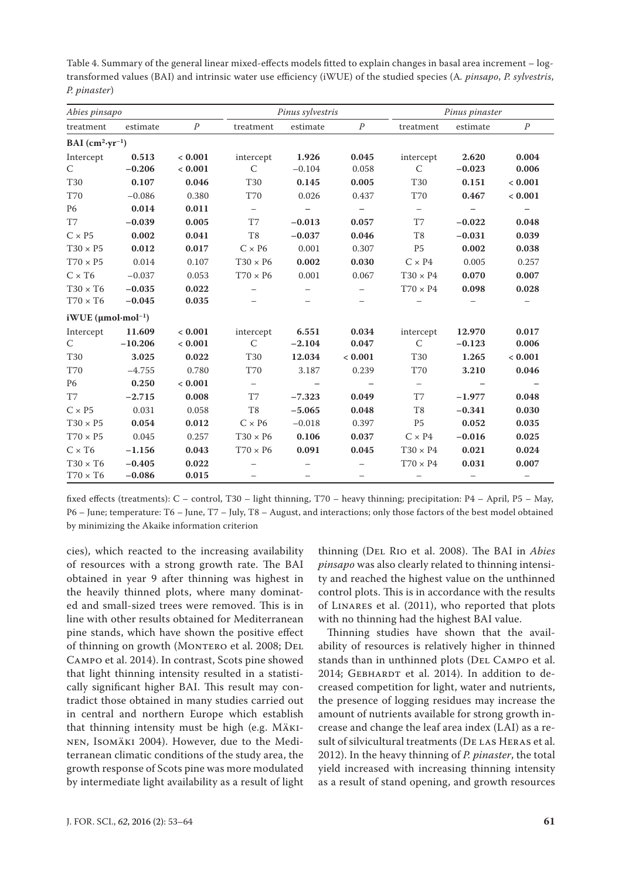| Abies pinsapo                   |           |          | Pinus sylvestris         |          |                   | Pinus pinaster           |                   |                   |
|---------------------------------|-----------|----------|--------------------------|----------|-------------------|--------------------------|-------------------|-------------------|
| treatment                       | estimate  | $\cal P$ | treatment                | estimate | $\boldsymbol{P}$  | treatment                | estimate          | $\cal P$          |
| BAI $(cm^2 \cdot yr^{-1})$      |           |          |                          |          |                   |                          |                   |                   |
| Intercept                       | 0.513     | < 0.001  | intercept                | 1.926    | 0.045             | intercept                | 2.620             | 0.004             |
| $\mathcal{C}$                   | $-0.206$  | < 0.001  | $\mathcal{C}$            | $-0.104$ | 0.058             | $\mathcal{C}$            | $-0.023$          | 0.006             |
| <b>T30</b>                      | 0.107     | 0.046    | T30                      | 0.145    | 0.005             | T30                      | 0.151             | ${}< 0.001$       |
| <b>T70</b>                      | $-0.086$  | 0.380    | T70                      | 0.026    | 0.437             | T70                      | 0.467             | < 0.001           |
| <b>P6</b>                       | 0.014     | 0.011    | $\overline{\phantom{0}}$ |          |                   | $\overline{\phantom{m}}$ |                   |                   |
| T7                              | $-0.039$  | 0.005    | $\operatorname{T7}$      | $-0.013$ | 0.057             | T7                       | $-0.022$          | 0.048             |
| $C \times P5$                   | 0.002     | 0.041    | T <sub>8</sub>           | $-0.037$ | 0.046             | T <sub>8</sub>           | $-0.031$          | 0.039             |
| $T30\times P5$                  | 0.012     | 0.017    | $C \times P6$            | 0.001    | 0.307             | P <sub>5</sub>           | 0.002             | 0.038             |
| $T70 \times P5$                 | 0.014     | 0.107    | $T30 \times P6$          | 0.002    | 0.030             | $C \times P4$            | 0.005             | 0.257             |
| $C \times T6$                   | $-0.037$  | 0.053    | $T70 \times P6$          | 0.001    | 0.067             | $T30 \times P4$          | 0.070             | 0.007             |
| $T30 \times T6$                 | $-0.035$  | 0.022    |                          |          | $\qquad \qquad -$ | $T70 \times P4$          | 0.098             | 0.028             |
| $T70 \times T6$                 | $-0.045$  | 0.035    |                          |          |                   |                          |                   |                   |
| iWUE $(\mu mol \cdot mol^{-1})$ |           |          |                          |          |                   |                          |                   |                   |
| Intercept                       | 11.609    | < 0.001  | intercept                | 6.551    | 0.034             | intercept                | 12.970            | 0.017             |
| $\mathcal{C}$                   | $-10.206$ | < 0.001  | $\cal C$                 | $-2.104$ | 0.047             | $\cal C$                 | $-0.123$          | 0.006             |
| T <sub>30</sub>                 | 3.025     | 0.022    | T <sub>30</sub>          | 12.034   | < 0.001           | T <sub>30</sub>          | 1.265             | < 0.001           |
| <b>T70</b>                      | $-4.755$  | 0.780    | <b>T70</b>               | 3.187    | 0.239             | T70                      | 3.210             | 0.046             |
| P <sub>6</sub>                  | 0.250     | < 0.001  | $\overline{\phantom{m}}$ |          |                   | $\overline{\phantom{m}}$ |                   |                   |
| T7                              | $-2.715$  | 0.008    | T7                       | $-7.323$ | 0.049             | T7                       | $-1.977$          | 0.048             |
| $C \times P5$                   | 0.031     | 0.058    | T8                       | $-5.065$ | 0.048             | T8                       | $-0.341$          | 0.030             |
| $T30 \times P5$                 | 0.054     | 0.012    | $C \times P6$            | $-0.018$ | 0.397             | P <sub>5</sub>           | 0.052             | 0.035             |
| $T70 \times P5$                 | 0.045     | 0.257    | $T30 \times P6$          | 0.106    | 0.037             | $C \times P4$            | $-0.016$          | 0.025             |
| $C \times T6$                   | $-1.156$  | 0.043    | $T70 \times P6$          | 0.091    | 0.045             | $T30 \times P4$          | 0.021             | 0.024             |
| $T30 \times T6$                 | $-0.405$  | 0.022    |                          |          | $\qquad \qquad -$ | $T70 \times P4$          | 0.031             | 0.007             |
| $T70\times T6$                  | $-0.086$  | 0.015    |                          |          | $\qquad \qquad -$ | —                        | $\qquad \qquad -$ | $\qquad \qquad -$ |

Table 4. Summary of the general linear mixed-effects models fitted to explain changes in basal area increment – logtransformed values (BAI) and intrinsic water use efficiency (iWUE) of the studied species (A*. pinsapo*, *P. sylvestris*, *P. pinaster*)

fixed effects (treatments): C – control, T30 – light thinning, T70 – heavy thinning; precipitation: P4 – April, P5 – May, P6 – June; temperature: T6 – June, T7 – July, T8 – August, and interactions; only those factors of the best model obtained by minimizing the Akaike information criterion

cies), which reacted to the increasing availability of resources with a strong growth rate. The BAI obtained in year 9 after thinning was highest in the heavily thinned plots, where many dominated and small-sized trees were removed. This is in line with other results obtained for Mediterranean pine stands, which have shown the positive effect of thinning on growth (MONTERO et al. 2008; DEL Campo et al. 2014). In contrast, Scots pine showed that light thinning intensity resulted in a statistically significant higher BAI. This result may contradict those obtained in many studies carried out in central and northern Europe which establish that thinning intensity must be high (e.g. Mäkinen, Isomäki 2004). However, due to the Mediterranean climatic conditions of the study area, the growth response of Scots pine was more modulated by intermediate light availability as a result of light

thinning (Del Rio et al. 2008). The BAI in *Abies pinsapo* was also clearly related to thinning intensity and reached the highest value on the unthinned control plots. This is in accordance with the results of Linares et al. (2011), who reported that plots with no thinning had the highest BAI value.

Thinning studies have shown that the availability of resources is relatively higher in thinned stands than in unthinned plots (Del Campo et al. 2014; GEBHARDT et al. 2014). In addition to decreased competition for light, water and nutrients, the presence of logging residues may increase the amount of nutrients available for strong growth increase and change the leaf area index (LAI) as a result of silvicultural treatments (De las Heras et al. 2012). In the heavy thinning of *P. pinaster*, the total yield increased with increasing thinning intensity as a result of stand opening, and growth resources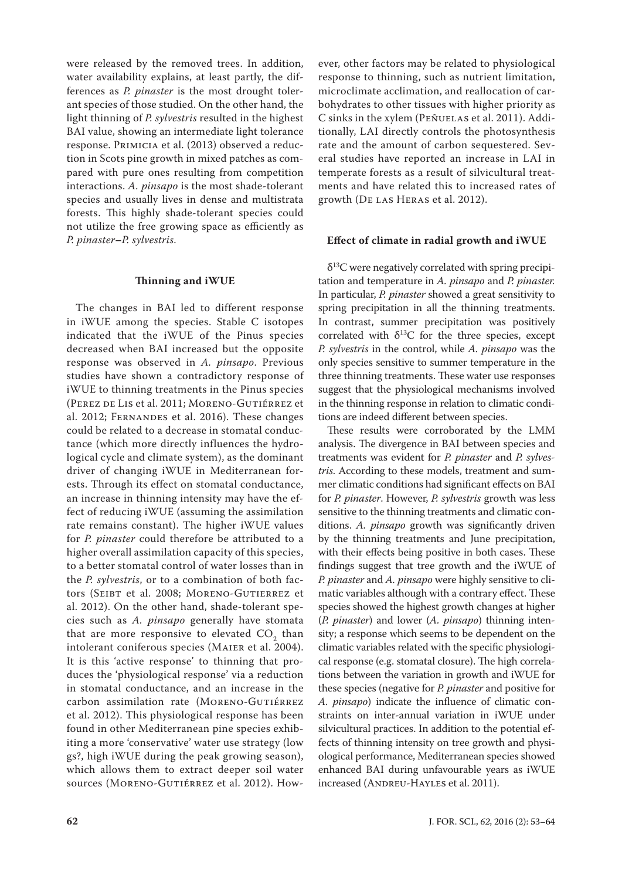were released by the removed trees. In addition, water availability explains, at least partly, the differences as *P. pinaster* is the most drought tolerant species of those studied. On the other hand, the light thinning of *P. sylvestris* resulted in the highest BAI value, showing an intermediate light tolerance response. Primicia et al. (2013) observed a reduction in Scots pine growth in mixed patches as compared with pure ones resulting from competition interactions. *A. pinsapo* is the most shade-tolerant species and usually lives in dense and multistrata forests. This highly shade-tolerant species could not utilize the free growing space as efficiently as *P. pinaster–P. sylvestris*.

#### **Thinning and iWUE**

The changes in BAI led to different response in iWUE among the species. Stable C isotopes indicated that the iWUE of the Pinus species decreased when BAI increased but the opposite response was observed in *A. pinsapo*. Previous studies have shown a contradictory response of iWUE to thinning treatments in the Pinus species (Perez de Lis et al. 2011; Moreno-Gutiérrez et al. 2012; Fernandes et al. 2016). These changes could be related to a decrease in stomatal conductance (which more directly influences the hydrological cycle and climate system), as the dominant driver of changing iWUE in Mediterranean forests. Through its effect on stomatal conductance, an increase in thinning intensity may have the effect of reducing iWUE (assuming the assimilation rate remains constant). The higher iWUE values for *P. pinaster* could therefore be attributed to a higher overall assimilation capacity of this species, to a better stomatal control of water losses than in the *P. sylvestris*, or to a combination of both factors (SEIBT et al. 2008; MORENO-GUTIERREZ et al. 2012). On the other hand, shade-tolerant species such as *A. pinsapo* generally have stomata that are more responsive to elevated  $CO<sub>2</sub>$  than intolerant coniferous species (Maier et al. 2004). It is this 'active response' to thinning that produces the 'physiological response' via a reduction in stomatal conductance, and an increase in the carbon assimilation rate (MORENO-GUTIÉRREZ et al. 2012). This physiological response has been found in other Mediterranean pine species exhibiting a more 'conservative' water use strategy (low gs?, high iWUE during the peak growing season), which allows them to extract deeper soil water sources (MORENO-GUTIÉRREZ et al. 2012). However, other factors may be related to physiological response to thinning, such as nutrient limitation, microclimate acclimation, and reallocation of carbohydrates to other tissues with higher priority as C sinks in the xylem (Peñuelas et al. 2011). Additionally, LAI directly controls the photosynthesis rate and the amount of carbon sequestered. Several studies have reported an increase in LAI in temperate forests as a result of silvicultural treatments and have related this to increased rates of growth (De las Heras et al. 2012).

# **Effect of climate in radial growth and iWUE**

 $\delta^{13}$ C were negatively correlated with spring precipitation and temperature in *A. pinsapo* and *P. pinaster.*  In particular, *P. pinaster* showed a great sensitivity to spring precipitation in all the thinning treatments. In contrast, summer precipitation was positively correlated with  $\delta^{13}C$  for the three species, except *P. sylvestris* in the control, while *A. pinsapo* was the only species sensitive to summer temperature in the three thinning treatments. These water use responses suggest that the physiological mechanisms involved in the thinning response in relation to climatic conditions are indeed different between species.

These results were corroborated by the LMM analysis. The divergence in BAI between species and treatments was evident for *P. pinaster* and *P. sylvestris*. According to these models, treatment and summer climatic conditions had significant effects on BAI for *P. pinaster*. However, *P. sylvestris* growth was less sensitive to the thinning treatments and climatic conditions. *A. pinsapo* growth was significantly driven by the thinning treatments and June precipitation, with their effects being positive in both cases. These findings suggest that tree growth and the iWUE of *P. pinaster* and *A. pinsapo* were highly sensitive to climatic variables although with a contrary effect. These species showed the highest growth changes at higher (*P. pinaster*) and lower (*A. pinsapo*) thinning intensity; a response which seems to be dependent on the climatic variables related with the specific physiological response (e.g. stomatal closure). The high correlations between the variation in growth and iWUE for these species (negative for *P. pinaster* and positive for *A. pinsapo*) indicate the influence of climatic constraints on inter-annual variation in iWUE under silvicultural practices. In addition to the potential effects of thinning intensity on tree growth and physiological performance, Mediterranean species showed enhanced BAI during unfavourable years as iWUE increased (ANDREU-HAYLES et al. 2011).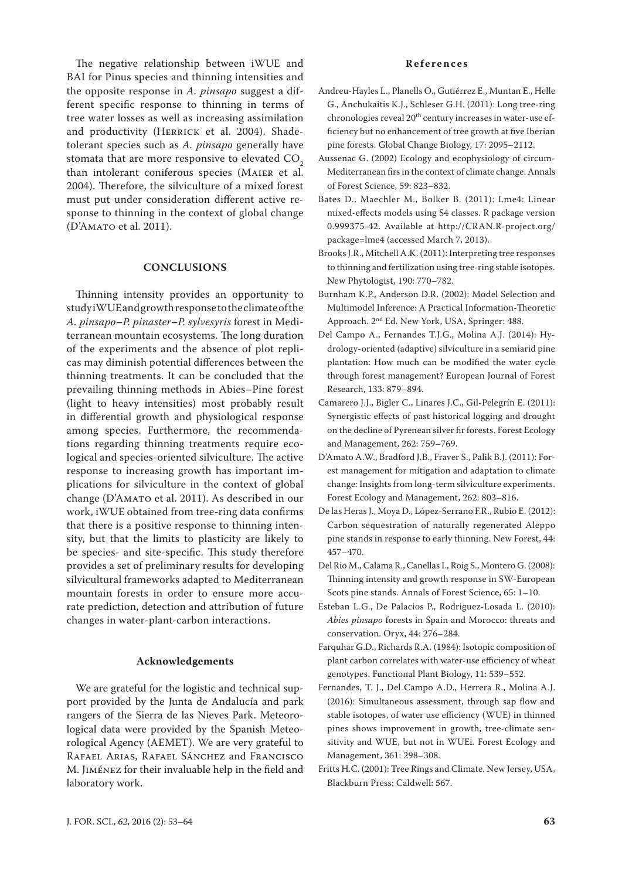The negative relationship between iWUE and BAI for Pinus species and thinning intensities and the opposite response in *A. pinsapo* suggest a different specific response to thinning in terms of tree water losses as well as increasing assimilation and productivity (HERRICK et al. 2004). Shadetolerant species such as *A. pinsapo* generally have stomata that are more responsive to elevated  $CO<sub>2</sub>$ than intolerant coniferous species (Maier et al. 2004). Therefore, the silviculture of a mixed forest must put under consideration different active response to thinning in the context of global change (D'Amato et al. 2011).

# **CONCLUSIONS**

Thinning intensity provides an opportunity to study iWUE and growth response to the climate of the *A. pinsapo–P. pinaster–P. sylvesyris* forest in Mediterranean mountain ecosystems. The long duration of the experiments and the absence of plot replicas may diminish potential differences between the thinning treatments. It can be concluded that the prevailing thinning methods in Abies*–*Pine forest (light to heavy intensities) most probably result in differential growth and physiological response among species. Furthermore, the recommendations regarding thinning treatments require ecological and species-oriented silviculture. The active response to increasing growth has important implications for silviculture in the context of global change (D'Amato et al. 2011). As described in our work, iWUE obtained from tree-ring data confirms that there is a positive response to thinning intensity, but that the limits to plasticity are likely to be species- and site-specific. This study therefore provides a set of preliminary results for developing silvicultural frameworks adapted to Mediterranean mountain forests in order to ensure more accurate prediction, detection and attribution of future changes in water-plant-carbon interactions.

#### **Acknowledgements**

We are grateful for the logistic and technical support provided by the Junta de Andalucía and park rangers of the Sierra de las Nieves Park. Meteorological data were provided by the Spanish Meteorological Agency (AEMET). We are very grateful to Rafael Arias, Rafael Sánchez and Francisco M. Jiménez for their invaluable help in the field and laboratory work.

#### **References**

- Andreu-Hayles L., Planells O., Gutiérrez E., Muntan E., Helle G., Anchukaitis K.J., Schleser G.H. (2011): Long tree-ring chronologies reveal 20<sup>th</sup> century increases in water-use efficiency but no enhancement of tree growth at five Iberian pine forests. Global Change Biology, 17: 2095–2112.
- Aussenac G. (2002) Ecology and ecophysiology of circum-Mediterranean firs in the context of climate change. Annals of Forest Science, 59: 823–832.
- Bates D., Maechler M., Bolker B. (2011): Lme4: Linear mixed-effects models using S4 classes. R package version 0.999375-42. Available at http://CRAN.R-project.org/ package=lme4 (accessed March 7, 2013).
- Brooks J.R., Mitchell A.K. (2011): Interpreting tree responses to thinning and fertilization using tree-ring stable isotopes. New Phytologist, 190: 770–782.
- Burnham K.P., Anderson D.R. (2002): Model Selection and Multimodel Inference: A Practical Information-Theoretic Approach. 2nd Ed. New York, USA, Springer: 488.
- Del Campo A., Fernandes T.J.G., Molina A.J. (2014): Hydrology-oriented (adaptive) silviculture in a semiarid pine plantation: How much can be modified the water cycle through forest management? European Journal of Forest Research, 133: 879–894.
- Camarero J.J., Bigler C., Linares J.C., Gil-Pelegrín E. (2011): Synergistic effects of past historical logging and drought on the decline of Pyrenean silver fir forests. Forest Ecology and Management, 262: 759–769.
- D'Amato A.W., Bradford J.B., Fraver S., Palik B.J. (2011): Forest management for mitigation and adaptation to climate change: Insights from long-term silviculture experiments. Forest Ecology and Management, 262: 803–816.
- De las Heras J., Moya D., López-Serrano F.R., Rubio E. (2012): Carbon sequestration of naturally regenerated Aleppo pine stands in response to early thinning. New Forest, 44: 457–470.
- Del Rio M., Calama R., Canellas I., Roig S., Montero G. (2008): Thinning intensity and growth response in SW-European Scots pine stands. Annals of Forest Science, 65: 1–10.
- Esteban L.G., De Palacios P., Rodriguez-Losada L. (2010): *Abies pinsapo* forests in Spain and Morocco: threats and conservation. Oryx, 44: 276–284.
- Farquhar G.D., Richards R.A. (1984): Isotopic composition of plant carbon correlates with water-use efficiency of wheat genotypes. Functional Plant Biology, 11: 539–552.
- Fernandes, T. J., Del Campo A.D., Herrera R., Molina A.J. (2016): Simultaneous assessment, through sap flow and stable isotopes, of water use efficiency (WUE) in thinned pines shows improvement in growth, tree-climate sensitivity and WUE, but not in WUEi. Forest Ecology and Management, 361: 298–308.
- Fritts H.C. (2001): Tree Rings and Climate. New Jersey, USA, Blackburn Press: Caldwell: 567.